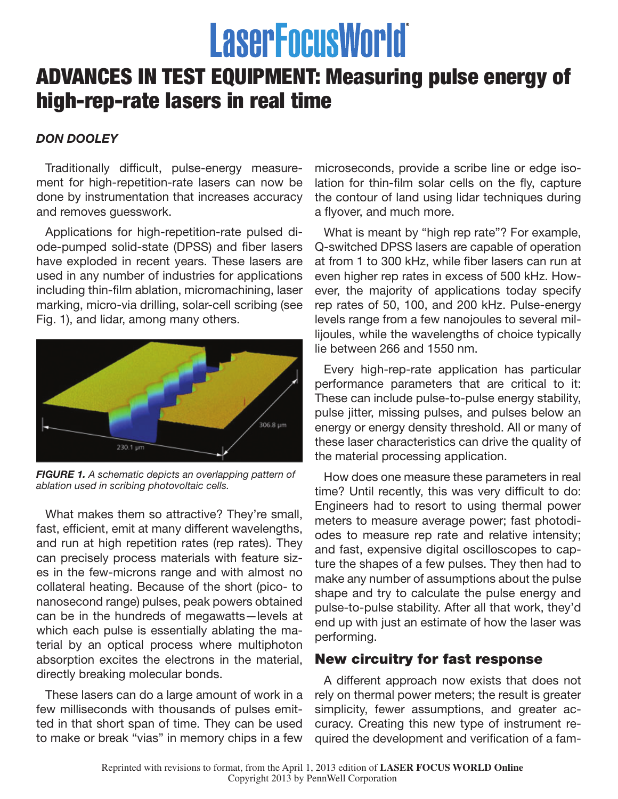# **LaserFocusWorld**

## ADVANCES IN TEST EQUIPMENT: Measuring pulse energy of high-rep-rate lasers in real time

### *DON DOOLEY*

Traditionally difficult, pulse-energy measurement for high-repetition-rate lasers can now be done by instrumentation that increases accuracy and removes guesswork.

Applications for high-repetition-rate pulsed diode-pumped solid-state (DPSS) and fiber lasers have exploded in recent years. These lasers are used in any number of industries for applications including thin-film ablation, micromachining, laser marking, micro-via drilling, solar-cell scribing (see Fig. 1), and lidar, among many others.



*FIGURE 1. A schematic depicts an overlapping pattern of ablation used in scribing photovoltaic cells.*

What makes them so attractive? They're small, fast, efficient, emit at many different wavelengths, and run at high repetition rates (rep rates). They can precisely process materials with feature sizes in the few-microns range and with almost no collateral heating. Because of the short (pico- to nanosecond range) pulses, peak powers obtained can be in the hundreds of megawatts—levels at which each pulse is essentially ablating the material by an optical process where multiphoton absorption excites the electrons in the material, directly breaking molecular bonds.

These lasers can do a large amount of work in a few milliseconds with thousands of pulses emitted in that short span of time. They can be used to make or break "vias" in memory chips in a few

microseconds, provide a scribe line or edge isolation for thin-film solar cells on the fly, capture the contour of land using lidar techniques during a flyover, and much more.

What is meant by "high rep rate"? For example, Q-switched DPSS lasers are capable of operation at from 1 to 300 kHz, while fiber lasers can run at even higher rep rates in excess of 500 kHz. However, the majority of applications today specify rep rates of 50, 100, and 200 kHz. Pulse-energy levels range from a few nanojoules to several millijoules, while the wavelengths of choice typically lie between 266 and 1550 nm.

Every high-rep-rate application has particular performance parameters that are critical to it: These can include pulse-to-pulse energy stability, pulse jitter, missing pulses, and pulses below an energy or energy density threshold. All or many of these laser characteristics can drive the quality of the material processing application.

How does one measure these parameters in real time? Until recently, this was very difficult to do: Engineers had to resort to using thermal power meters to measure average power; fast photodiodes to measure rep rate and relative intensity; and fast, expensive digital oscilloscopes to capture the shapes of a few pulses. They then had to make any number of assumptions about the pulse shape and try to calculate the pulse energy and pulse-to-pulse stability. After all that work, they'd end up with just an estimate of how the laser was performing.

#### New circuitry for fast response

A different approach now exists that does not rely on thermal power meters; the result is greater simplicity, fewer assumptions, and greater accuracy. Creating this new type of instrument required the development and verification of a fam-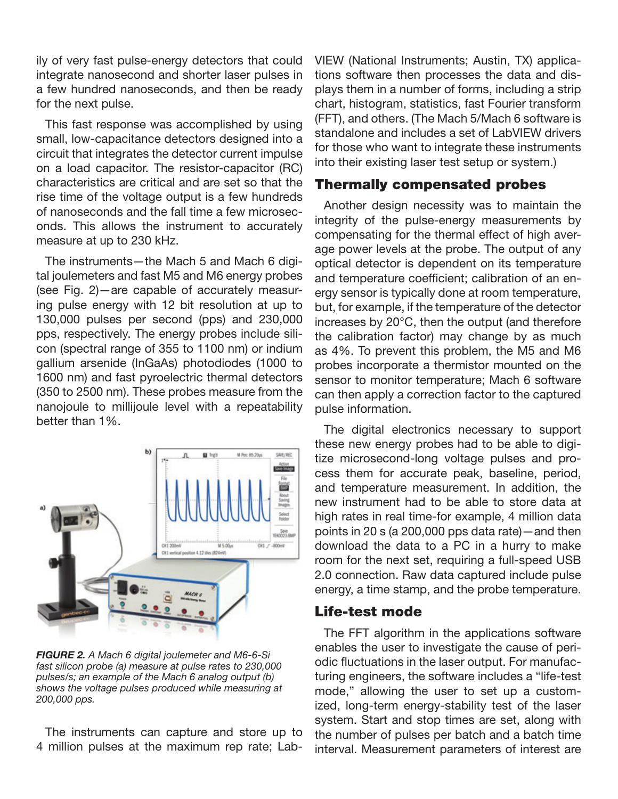ily of very fast pulse-energy detectors that could integrate nanosecond and shorter laser pulses in a few hundred nanoseconds, and then be ready for the next pulse.

This fast response was accomplished by using small, low-capacitance detectors designed into a circuit that integrates the detector current impulse on a load capacitor. The resistor-capacitor (RC) characteristics are critical and are set so that the rise time of the voltage output is a few hundreds of nanoseconds and the fall time a few microseconds. This allows the instrument to accurately measure at up to 230 kHz.

The instruments—the Mach 5 and Mach 6 digital joulemeters and fast M5 and M6 energy probes (see Fig. 2)—are capable of accurately measuring pulse energy with 12 bit resolution at up to 130,000 pulses per second (pps) and 230,000 pps, respectively. The energy probes include silicon (spectral range of 355 to 1100 nm) or indium gallium arsenide (InGaAs) photodiodes (1000 to 1600 nm) and fast pyroelectric thermal detectors (350 to 2500 nm). These probes measure from the nanojoule to millijoule level with a repeatability better than 1%.



*FIGURE 2. A Mach 6 digital joulemeter and M6-6-Si fast silicon probe (a) measure at pulse rates to 230,000 pulses/s; an example of the Mach 6 analog output (b) shows the voltage pulses produced while measuring at 200,000 pps.*

The instruments can capture and store up to 4 million pulses at the maximum rep rate; LabVIEW (National Instruments; Austin, TX) applications software then processes the data and displays them in a number of forms, including a strip chart, histogram, statistics, fast Fourier transform (FFT), and others. (The Mach 5/Mach 6 software is standalone and includes a set of LabVIEW drivers for those who want to integrate these instruments into their existing laser test setup or system.)

#### Thermally compensated probes

Another design necessity was to maintain the integrity of the pulse-energy measurements by compensating for the thermal effect of high average power levels at the probe. The output of any optical detector is dependent on its temperature and temperature coefficient; calibration of an energy sensor is typically done at room temperature, but, for example, if the temperature of the detector increases by 20°C, then the output (and therefore the calibration factor) may change by as much as 4%. To prevent this problem, the M5 and M6 probes incorporate a thermistor mounted on the sensor to monitor temperature; Mach 6 software can then apply a correction factor to the captured pulse information.

The digital electronics necessary to support these new energy probes had to be able to digitize microsecond-long voltage pulses and process them for accurate peak, baseline, period, and temperature measurement. In addition, the new instrument had to be able to store data at high rates in real time-for example, 4 million data points in 20 s (a 200,000 pps data rate)—and then download the data to a PC in a hurry to make room for the next set, requiring a full-speed USB 2.0 connection. Raw data captured include pulse energy, a time stamp, and the probe temperature.

#### Life-test mode

The FFT algorithm in the applications software enables the user to investigate the cause of periodic fluctuations in the laser output. For manufacturing engineers, the software includes a "life-test mode," allowing the user to set up a customized, long-term energy-stability test of the laser system. Start and stop times are set, along with the number of pulses per batch and a batch time interval. Measurement parameters of interest are